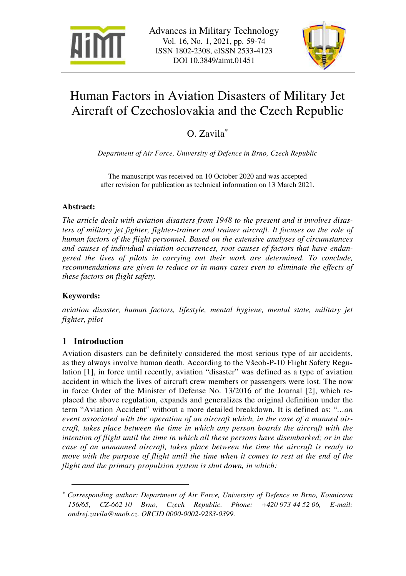



# Human Factors in Aviation Disasters of Military Jet Aircraft of Czechoslovakia and the Czech Republic

O. Zavila\*

*Department of Air Force, University of Defence in Brno, Czech Republic* 

The manuscript was received on 10 October 2020 and was accepted after revision for publication as technical information on 13 March 2021.

## **Abstract:**

*The article deals with aviation disasters from 1948 to the present and it involves disasters of military jet fighter, fighter-trainer and trainer aircraft. It focuses on the role of human factors of the flight personnel. Based on the extensive analyses of circumstances and causes of individual aviation occurrences, root causes of factors that have endangered the lives of pilots in carrying out their work are determined. To conclude, recommendations are given to reduce or in many cases even to eliminate the effects of these factors on flight safety.* 

## **Keywords:**

l

*aviation disaster, human factors, lifestyle, mental hygiene, mental state, military jet fighter, pilot* 

# **1 Introduction**

Aviation disasters can be definitely considered the most serious type of air accidents, as they always involve human death. According to the Všeob-P-10 Flight Safety Regulation [1], in force until recently, aviation "disaster" was defined as a type of aviation accident in which the lives of aircraft crew members or passengers were lost. The now in force Order of the Minister of Defense No. 13/2016 of the Journal [2], which replaced the above regulation, expands and generalizes the original definition under the term "Aviation Accident" without a more detailed breakdown. It is defined as: "*…an event associated with the operation of an aircraft which, in the case of a manned aircraft, takes place between the time in which any person boards the aircraft with the intention of flight until the time in which all these persons have disembarked; or in the case of an unmanned aircraft, takes place between the time the aircraft is ready to move with the purpose of flight until the time when it comes to rest at the end of the flight and the primary propulsion system is shut down, in which:* 

*<sup>\*</sup> Corresponding author: Department of Air Force, University of Defence in Brno, Kounicova 156/65, CZ-662 10 Brno, Czech Republic. Phone: +420 973 44 52 06, E-mail: ondrej.zavila@unob.cz. ORCID 0000-0002-9283-0399.*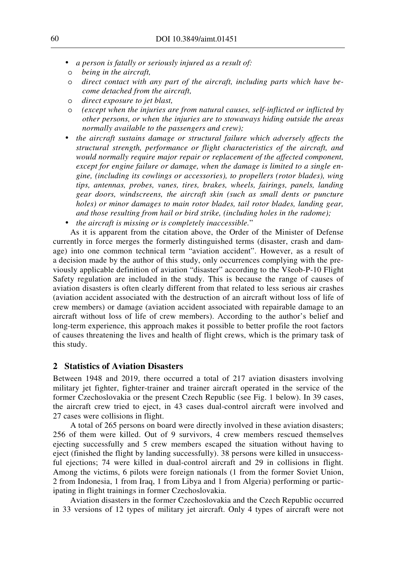- *a person is fatally or seriously injured as a result of:*
- o *being in the aircraft,*
- o *direct contact with any part of the aircraft, including parts which have become detached from the aircraft,*
- o *direct exposure to jet blast,*
- o *(except when the injuries are from natural causes, self-inflicted or inflicted by other persons, or when the injuries are to stowaways hiding outside the areas normally available to the passengers and crew);*
- *the aircraft sustains damage or structural failure which adversely affects the structural strength, performance or flight characteristics of the aircraft, and would normally require major repair or replacement of the affected component, except for engine failure or damage, when the damage is limited to a single engine, (including its cowlings or accessories), to propellers (rotor blades), wing tips, antennas, probes, vanes, tires, brakes, wheels, fairings, panels, landing gear doors, windscreens, the aircraft skin (such as small dents or puncture holes) or minor damages to main rotor blades, tail rotor blades, landing gear, and those resulting from hail or bird strike, (including holes in the radome);*
- *the aircraft is missing or is completely inaccessible.*"

As it is apparent from the citation above, the Order of the Minister of Defense currently in force merges the formerly distinguished terms (disaster, crash and damage) into one common technical term "aviation accident". However, as a result of a decision made by the author of this study, only occurrences complying with the previously applicable definition of aviation "disaster" according to the Všeob-P-10 Flight Safety regulation are included in the study. This is because the range of causes of aviation disasters is often clearly different from that related to less serious air crashes (aviation accident associated with the destruction of an aircraft without loss of life of crew members) or damage (aviation accident associated with repairable damage to an aircraft without loss of life of crew members). According to the author's belief and long-term experience, this approach makes it possible to better profile the root factors of causes threatening the lives and health of flight crews, which is the primary task of this study.

# **2 Statistics of Aviation Disasters**

Between 1948 and 2019, there occurred a total of 217 aviation disasters involving military jet fighter, fighter-trainer and trainer aircraft operated in the service of the former Czechoslovakia or the present Czech Republic (see Fig. 1 below). In 39 cases, the aircraft crew tried to eject, in 43 cases dual-control aircraft were involved and 27 cases were collisions in flight.

A total of 265 persons on board were directly involved in these aviation disasters; 256 of them were killed. Out of 9 survivors, 4 crew members rescued themselves ejecting successfully and 5 crew members escaped the situation without having to eject (finished the flight by landing successfully). 38 persons were killed in unsuccessful ejections; 74 were killed in dual-control aircraft and 29 in collisions in flight. Among the victims, 6 pilots were foreign nationals (1 from the former Soviet Union, 2 from Indonesia, 1 from Iraq, 1 from Libya and 1 from Algeria) performing or participating in flight trainings in former Czechoslovakia.

Aviation disasters in the former Czechoslovakia and the Czech Republic occurred in 33 versions of 12 types of military jet aircraft. Only 4 types of aircraft were not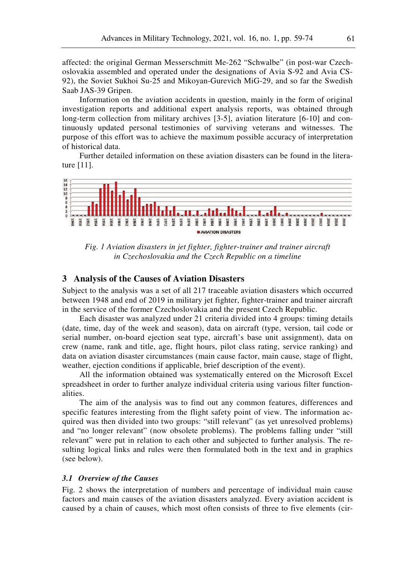affected: the original German Messerschmitt Me-262 "Schwalbe" (in post-war Czechoslovakia assembled and operated under the designations of Avia S-92 and Avia CS-92), the Soviet Sukhoi Su-25 and Mikoyan-Gurevich MiG-29, and so far the Swedish Saab JAS-39 Gripen.

Information on the aviation accidents in question, mainly in the form of original investigation reports and additional expert analysis reports, was obtained through long-term collection from military archives [3-5], aviation literature [6-10] and continuously updated personal testimonies of surviving veterans and witnesses. The purpose of this effort was to achieve the maximum possible accuracy of interpretation of historical data.

Further detailed information on these aviation disasters can be found in the literature [11].



*Fig. 1 Aviation disasters in jet fighter, fighter-trainer and trainer aircraft in Czechoslovakia and the Czech Republic on a timeline* 

#### **3 Analysis of the Causes of Aviation Disasters**

Subject to the analysis was a set of all 217 traceable aviation disasters which occurred between 1948 and end of 2019 in military jet fighter, fighter-trainer and trainer aircraft in the service of the former Czechoslovakia and the present Czech Republic.

Each disaster was analyzed under 21 criteria divided into 4 groups: timing details (date, time, day of the week and season), data on aircraft (type, version, tail code or serial number, on-board ejection seat type, aircraft's base unit assignment), data on crew (name, rank and title, age, flight hours, pilot class rating, service ranking) and data on aviation disaster circumstances (main cause factor, main cause, stage of flight, weather, ejection conditions if applicable, brief description of the event).

All the information obtained was systematically entered on the Microsoft Excel spreadsheet in order to further analyze individual criteria using various filter functionalities.

The aim of the analysis was to find out any common features, differences and specific features interesting from the flight safety point of view. The information acquired was then divided into two groups: "still relevant" (as yet unresolved problems) and "no longer relevant" (now obsolete problems). The problems falling under "still relevant" were put in relation to each other and subjected to further analysis. The resulting logical links and rules were then formulated both in the text and in graphics (see below).

#### *3.1 Overview of the Causes*

Fig. 2 shows the interpretation of numbers and percentage of individual main cause factors and main causes of the aviation disasters analyzed. Every aviation accident is caused by a chain of causes, which most often consists of three to five elements (cir-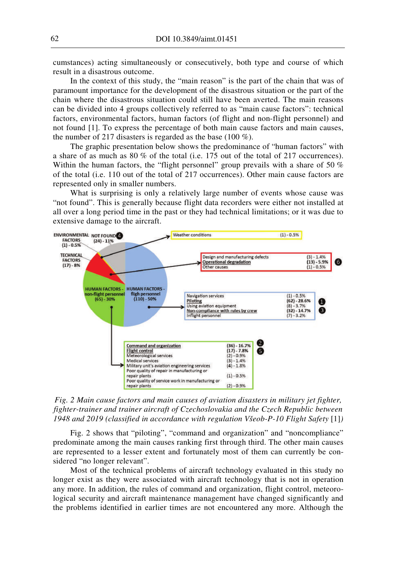cumstances) acting simultaneously or consecutively, both type and course of which result in a disastrous outcome.

In the context of this study, the "main reason" is the part of the chain that was of paramount importance for the development of the disastrous situation or the part of the chain where the disastrous situation could still have been averted. The main reasons can be divided into 4 groups collectively referred to as "main cause factors": technical factors, environmental factors, human factors (of flight and non-flight personnel) and not found [1]. To express the percentage of both main cause factors and main causes, the number of 217 disasters is regarded as the base (100 %).

The graphic presentation below shows the predominance of "human factors" with a share of as much as 80 % of the total (i.e. 175 out of the total of 217 occurrences). Within the human factors, the "flight personnel" group prevails with a share of 50 % of the total (i.e. 110 out of the total of 217 occurrences). Other main cause factors are represented only in smaller numbers.

What is surprising is only a relatively large number of events whose cause was "not found". This is generally because flight data recorders were either not installed at all over a long period time in the past or they had technical limitations; or it was due to extensive damage to the aircraft.





Fig. 2 shows that "piloting", "command and organization" and "noncompliance" predominate among the main causes ranking first through third. The other main causes are represented to a lesser extent and fortunately most of them can currently be considered "no longer relevant".

Most of the technical problems of aircraft technology evaluated in this study no longer exist as they were associated with aircraft technology that is not in operation any more. In addition, the rules of command and organization, flight control, meteorological security and aircraft maintenance management have changed significantly and the problems identified in earlier times are not encountered any more. Although the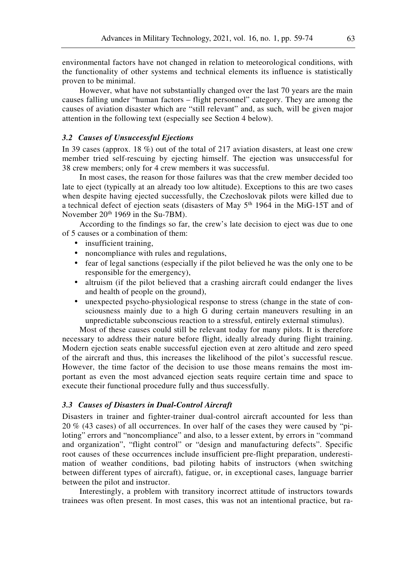environmental factors have not changed in relation to meteorological conditions, with the functionality of other systems and technical elements its influence is statistically proven to be minimal.

However, what have not substantially changed over the last 70 years are the main causes falling under "human factors – flight personnel" category. They are among the causes of aviation disaster which are "still relevant" and, as such, will be given major attention in the following text (especially see Section 4 below).

#### *3.2 Causes of Unsuccessful Ejections*

In 39 cases (approx. 18 %) out of the total of 217 aviation disasters, at least one crew member tried self-rescuing by ejecting himself. The ejection was unsuccessful for 38 crew members; only for 4 crew members it was successful.

In most cases, the reason for those failures was that the crew member decided too late to eject (typically at an already too low altitude). Exceptions to this are two cases when despite having ejected successfully, the Czechoslovak pilots were killed due to a technical defect of ejection seats (disasters of May 5<sup>th</sup> 1964 in the MiG-15T and of November 20<sup>th</sup> 1969 in the Su-7BM).

According to the findings so far, the crew's late decision to eject was due to one of 5 causes or a combination of them:

- insufficient training,
- noncompliance with rules and regulations,
- fear of legal sanctions (especially if the pilot believed he was the only one to be responsible for the emergency),
- altruism (if the pilot believed that a crashing aircraft could endanger the lives and health of people on the ground),
- unexpected psycho-physiological response to stress (change in the state of consciousness mainly due to a high G during certain maneuvers resulting in an unpredictable subconscious reaction to a stressful, entirely external stimulus).

Most of these causes could still be relevant today for many pilots. It is therefore necessary to address their nature before flight, ideally already during flight training. Modern ejection seats enable successful ejection even at zero altitude and zero speed of the aircraft and thus, this increases the likelihood of the pilot's successful rescue. However, the time factor of the decision to use those means remains the most important as even the most advanced ejection seats require certain time and space to execute their functional procedure fully and thus successfully.

#### *3.3 Causes of Disasters in Dual-Control Aircraft*

Disasters in trainer and fighter-trainer dual-control aircraft accounted for less than 20 % (43 cases) of all occurrences. In over half of the cases they were caused by "piloting" errors and "noncompliance" and also, to a lesser extent, by errors in "command and organization", "flight control" or "design and manufacturing defects". Specific root causes of these occurrences include insufficient pre-flight preparation, underestimation of weather conditions, bad piloting habits of instructors (when switching between different types of aircraft), fatigue, or, in exceptional cases, language barrier between the pilot and instructor.

Interestingly, a problem with transitory incorrect attitude of instructors towards trainees was often present. In most cases, this was not an intentional practice, but ra-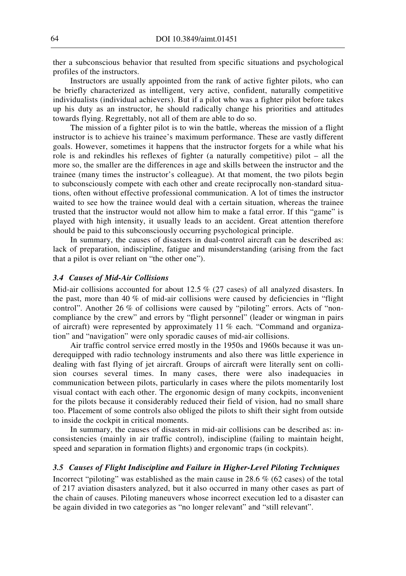ther a subconscious behavior that resulted from specific situations and psychological profiles of the instructors.

Instructors are usually appointed from the rank of active fighter pilots, who can be briefly characterized as intelligent, very active, confident, naturally competitive individualists (individual achievers). But if a pilot who was a fighter pilot before takes up his duty as an instructor, he should radically change his priorities and attitudes towards flying. Regrettably, not all of them are able to do so.

The mission of a fighter pilot is to win the battle, whereas the mission of a flight instructor is to achieve his trainee's maximum performance. These are vastly different goals. However, sometimes it happens that the instructor forgets for a while what his role is and rekindles his reflexes of fighter (a naturally competitive) pilot – all the more so, the smaller are the differences in age and skills between the instructor and the trainee (many times the instructor's colleague). At that moment, the two pilots begin to subconsciously compete with each other and create reciprocally non-standard situations, often without effective professional communication. A lot of times the instructor waited to see how the trainee would deal with a certain situation, whereas the trainee trusted that the instructor would not allow him to make a fatal error. If this "game" is played with high intensity, it usually leads to an accident. Great attention therefore should be paid to this subconsciously occurring psychological principle.

In summary, the causes of disasters in dual-control aircraft can be described as: lack of preparation, indiscipline, fatigue and misunderstanding (arising from the fact that a pilot is over reliant on "the other one").

#### *3.4 Causes of Mid-Air Collisions*

Mid-air collisions accounted for about 12.5 % (27 cases) of all analyzed disasters. In the past, more than 40 % of mid-air collisions were caused by deficiencies in "flight control". Another 26 % of collisions were caused by "piloting" errors. Acts of "noncompliance by the crew" and errors by "flight personnel" (leader or wingman in pairs of aircraft) were represented by approximately 11 % each. "Command and organization" and "navigation" were only sporadic causes of mid-air collisions.

Air traffic control service erred mostly in the 1950s and 1960s because it was underequipped with radio technology instruments and also there was little experience in dealing with fast flying of jet aircraft. Groups of aircraft were literally sent on collision courses several times. In many cases, there were also inadequacies in communication between pilots, particularly in cases where the pilots momentarily lost visual contact with each other. The ergonomic design of many cockpits, inconvenient for the pilots because it considerably reduced their field of vision, had no small share too. Placement of some controls also obliged the pilots to shift their sight from outside to inside the cockpit in critical moments.

In summary, the causes of disasters in mid-air collisions can be described as: inconsistencies (mainly in air traffic control), indiscipline (failing to maintain height, speed and separation in formation flights) and ergonomic traps (in cockpits).

#### *3.5 Causes of Flight Indiscipline and Failure in Higher-Level Piloting Techniques*

Incorrect "piloting" was established as the main cause in 28.6 % (62 cases) of the total of 217 aviation disasters analyzed, but it also occurred in many other cases as part of the chain of causes. Piloting maneuvers whose incorrect execution led to a disaster can be again divided in two categories as "no longer relevant" and "still relevant".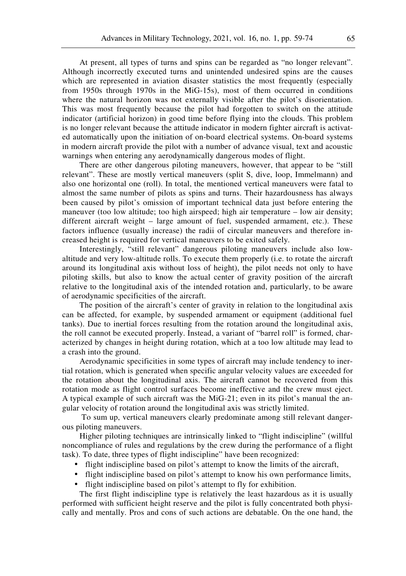At present, all types of turns and spins can be regarded as "no longer relevant". Although incorrectly executed turns and unintended undesired spins are the causes which are represented in aviation disaster statistics the most frequently (especially from 1950s through 1970s in the MiG-15s), most of them occurred in conditions where the natural horizon was not externally visible after the pilot's disorientation. This was most frequently because the pilot had forgotten to switch on the attitude indicator (artificial horizon) in good time before flying into the clouds. This problem is no longer relevant because the attitude indicator in modern fighter aircraft is activated automatically upon the initiation of on-board electrical systems. On-board systems in modern aircraft provide the pilot with a number of advance visual, text and acoustic warnings when entering any aerodynamically dangerous modes of flight.

There are other dangerous piloting maneuvers, however, that appear to be "still relevant". These are mostly vertical maneuvers (split S, dive, loop, Immelmann) and also one horizontal one (roll). In total, the mentioned vertical maneuvers were fatal to almost the same number of pilots as spins and turns. Their hazardousness has always been caused by pilot's omission of important technical data just before entering the maneuver (too low altitude; too high airspeed; high air temperature – low air density; different aircraft weight – large amount of fuel, suspended armament, etc.). These factors influence (usually increase) the radii of circular maneuvers and therefore increased height is required for vertical maneuvers to be exited safely.

Interestingly, "still relevant" dangerous piloting maneuvers include also lowaltitude and very low-altitude rolls. To execute them properly (i.e. to rotate the aircraft around its longitudinal axis without loss of height), the pilot needs not only to have piloting skills, but also to know the actual center of gravity position of the aircraft relative to the longitudinal axis of the intended rotation and, particularly, to be aware of aerodynamic specificities of the aircraft.

The position of the aircraft's center of gravity in relation to the longitudinal axis can be affected, for example, by suspended armament or equipment (additional fuel tanks). Due to inertial forces resulting from the rotation around the longitudinal axis, the roll cannot be executed properly. Instead, a variant of "barrel roll" is formed, characterized by changes in height during rotation, which at a too low altitude may lead to a crash into the ground.

Aerodynamic specificities in some types of aircraft may include tendency to inertial rotation, which is generated when specific angular velocity values are exceeded for the rotation about the longitudinal axis. The aircraft cannot be recovered from this rotation mode as flight control surfaces become ineffective and the crew must eject. A typical example of such aircraft was the MiG-21; even in its pilot's manual the angular velocity of rotation around the longitudinal axis was strictly limited.

 To sum up, vertical maneuvers clearly predominate among still relevant dangerous piloting maneuvers.

Higher piloting techniques are intrinsically linked to "flight indiscipline" (willful noncompliance of rules and regulations by the crew during the performance of a flight task). To date, three types of flight indiscipline" have been recognized:

- flight indiscipline based on pilot's attempt to know the limits of the aircraft,
- flight indiscipline based on pilot's attempt to know his own performance limits,
- flight indiscipline based on pilot's attempt to fly for exhibition.

The first flight indiscipline type is relatively the least hazardous as it is usually performed with sufficient height reserve and the pilot is fully concentrated both physically and mentally. Pros and cons of such actions are debatable. On the one hand, the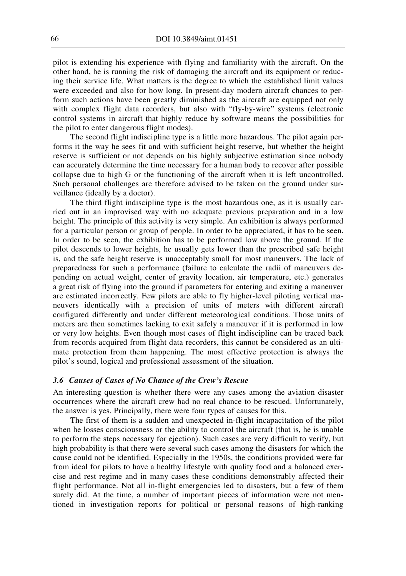pilot is extending his experience with flying and familiarity with the aircraft. On the other hand, he is running the risk of damaging the aircraft and its equipment or reducing their service life. What matters is the degree to which the established limit values were exceeded and also for how long. In present-day modern aircraft chances to perform such actions have been greatly diminished as the aircraft are equipped not only with complex flight data recorders, but also with "fly-by-wire" systems (electronic control systems in aircraft that highly reduce by software means the possibilities for the pilot to enter dangerous flight modes).

The second flight indiscipline type is a little more hazardous. The pilot again performs it the way he sees fit and with sufficient height reserve, but whether the height reserve is sufficient or not depends on his highly subjective estimation since nobody can accurately determine the time necessary for a human body to recover after possible collapse due to high G or the functioning of the aircraft when it is left uncontrolled. Such personal challenges are therefore advised to be taken on the ground under surveillance (ideally by a doctor).

The third flight indiscipline type is the most hazardous one, as it is usually carried out in an improvised way with no adequate previous preparation and in a low height. The principle of this activity is very simple. An exhibition is always performed for a particular person or group of people. In order to be appreciated, it has to be seen. In order to be seen, the exhibition has to be performed low above the ground. If the pilot descends to lower heights, he usually gets lower than the prescribed safe height is, and the safe height reserve is unacceptably small for most maneuvers. The lack of preparedness for such a performance (failure to calculate the radii of maneuvers depending on actual weight, center of gravity location, air temperature, etc.) generates a great risk of flying into the ground if parameters for entering and exiting a maneuver are estimated incorrectly. Few pilots are able to fly higher-level piloting vertical maneuvers identically with a precision of units of meters with different aircraft configured differently and under different meteorological conditions. Those units of meters are then sometimes lacking to exit safely a maneuver if it is performed in low or very low heights. Even though most cases of flight indiscipline can be traced back from records acquired from flight data recorders, this cannot be considered as an ultimate protection from them happening. The most effective protection is always the pilot's sound, logical and professional assessment of the situation.

#### *3.6 Causes of Cases of No Chance of the Crew's Rescue*

An interesting question is whether there were any cases among the aviation disaster occurrences where the aircraft crew had no real chance to be rescued. Unfortunately, the answer is yes. Principally, there were four types of causes for this.

The first of them is a sudden and unexpected in-flight incapacitation of the pilot when he losses consciousness or the ability to control the aircraft (that is, he is unable to perform the steps necessary for ejection). Such cases are very difficult to verify, but high probability is that there were several such cases among the disasters for which the cause could not be identified. Especially in the 1950s, the conditions provided were far from ideal for pilots to have a healthy lifestyle with quality food and a balanced exercise and rest regime and in many cases these conditions demonstrably affected their flight performance. Not all in-flight emergencies led to disasters, but a few of them surely did. At the time, a number of important pieces of information were not mentioned in investigation reports for political or personal reasons of high-ranking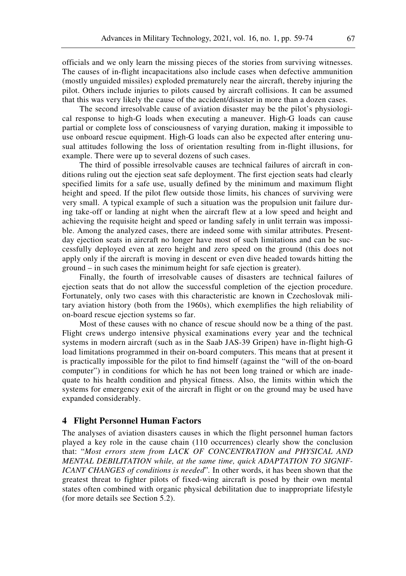officials and we only learn the missing pieces of the stories from surviving witnesses. The causes of in-flight incapacitations also include cases when defective ammunition (mostly unguided missiles) exploded prematurely near the aircraft, thereby injuring the pilot. Others include injuries to pilots caused by aircraft collisions. It can be assumed that this was very likely the cause of the accident/disaster in more than a dozen cases.

The second irresolvable cause of aviation disaster may be the pilot's physiological response to high-G loads when executing a maneuver. High-G loads can cause partial or complete loss of consciousness of varying duration, making it impossible to use onboard rescue equipment. High-G loads can also be expected after entering unusual attitudes following the loss of orientation resulting from in-flight illusions, for example. There were up to several dozens of such cases.

The third of possible irresolvable causes are technical failures of aircraft in conditions ruling out the ejection seat safe deployment. The first ejection seats had clearly specified limits for a safe use, usually defined by the minimum and maximum flight height and speed. If the pilot flew outside those limits, his chances of surviving were very small. A typical example of such a situation was the propulsion unit failure during take-off or landing at night when the aircraft flew at a low speed and height and achieving the requisite height and speed or landing safely in unlit terrain was impossible. Among the analyzed cases, there are indeed some with similar attributes. Presentday ejection seats in aircraft no longer have most of such limitations and can be successfully deployed even at zero height and zero speed on the ground (this does not apply only if the aircraft is moving in descent or even dive headed towards hitting the ground – in such cases the minimum height for safe ejection is greater).

Finally, the fourth of irresolvable causes of disasters are technical failures of ejection seats that do not allow the successful completion of the ejection procedure. Fortunately, only two cases with this characteristic are known in Czechoslovak military aviation history (both from the 1960s), which exemplifies the high reliability of on-board rescue ejection systems so far.

Most of these causes with no chance of rescue should now be a thing of the past. Flight crews undergo intensive physical examinations every year and the technical systems in modern aircraft (such as in the Saab JAS-39 Gripen) have in-flight high-G load limitations programmed in their on-board computers. This means that at present it is practically impossible for the pilot to find himself (against the "will of the on-board computer") in conditions for which he has not been long trained or which are inadequate to his health condition and physical fitness. Also, the limits within which the systems for emergency exit of the aircraft in flight or on the ground may be used have expanded considerably.

### **4 Flight Personnel Human Factors**

The analyses of aviation disasters causes in which the flight personnel human factors played a key role in the cause chain (110 occurrences) clearly show the conclusion that: "*Most errors stem from LACK OF CONCENTRATION and PHYSICAL AND MENTAL DEBILITATION while, at the same time, quick ADAPTATION TO SIGNIF-ICANT CHANGES of conditions is needed*"*.* In other words, it has been shown that the greatest threat to fighter pilots of fixed-wing aircraft is posed by their own mental states often combined with organic physical debilitation due to inappropriate lifestyle (for more details see Section 5.2).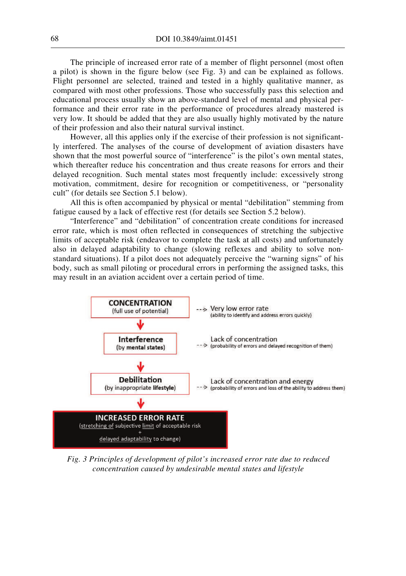The principle of increased error rate of a member of flight personnel (most often a pilot) is shown in the figure below (see Fig. 3) and can be explained as follows. Flight personnel are selected, trained and tested in a highly qualitative manner, as compared with most other professions. Those who successfully pass this selection and educational process usually show an above-standard level of mental and physical performance and their error rate in the performance of procedures already mastered is very low. It should be added that they are also usually highly motivated by the nature of their profession and also their natural survival instinct.

However, all this applies only if the exercise of their profession is not significantly interfered. The analyses of the course of development of aviation disasters have shown that the most powerful source of "interference" is the pilot's own mental states, which thereafter reduce his concentration and thus create reasons for errors and their delayed recognition. Such mental states most frequently include: excessively strong motivation, commitment, desire for recognition or competitiveness, or "personality cult" (for details see Section 5.1 below).

All this is often accompanied by physical or mental "debilitation" stemming from fatigue caused by a lack of effective rest (for details see Section 5.2 below).

"Interference" and "debilitation" of concentration create conditions for increased error rate, which is most often reflected in consequences of stretching the subjective limits of acceptable risk (endeavor to complete the task at all costs) and unfortunately also in delayed adaptability to change (slowing reflexes and ability to solve nonstandard situations). If a pilot does not adequately perceive the "warning signs" of his body, such as small piloting or procedural errors in performing the assigned tasks, this may result in an aviation accident over a certain period of time.



*Fig. 3 Principles of development of pilot's increased error rate due to reduced concentration caused by undesirable mental states and lifestyle*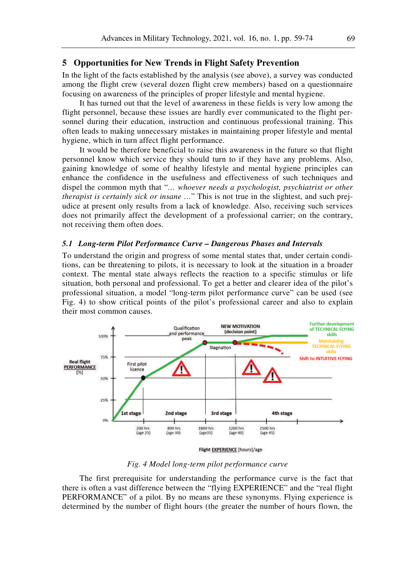## **5 Opportunities for New Trends in Flight Safety Prevention**

In the light of the facts established by the analysis (see above), a survey was conducted among the flight crew (several dozen flight crew members) based on a questionnaire focusing on awareness of the principles of proper lifestyle and mental hygiene.

It has turned out that the level of awareness in these fields is very low among the flight personnel, because these issues are hardly ever communicated to the flight personnel during their education, instruction and continuous professional training. This often leads to making unnecessary mistakes in maintaining proper lifestyle and mental hygiene, which in turn affect flight performance.

It would be therefore beneficial to raise this awareness in the future so that flight personnel know which service they should turn to if they have any problems. Also, gaining knowledge of some of healthy lifestyle and mental hygiene principles can enhance the confidence in the usefulness and effectiveness of such techniques and dispel the common myth that "*… whoever needs a psychologist, psychiatrist or other therapist is certainly sick or insane …*" This is not true in the slightest, and such prejudice at present only results from a lack of knowledge. Also, receiving such services does not primarily affect the development of a professional carrier; on the contrary, not receiving them often does.

#### *5.1 Long-term Pilot Performance Curve – Dangerous Phases and Intervals*

To understand the origin and progress of some mental states that, under certain conditions, can be threatening to pilots, it is necessary to look at the situation in a broader context. The mental state always reflects the reaction to a specific stimulus or life situation, both personal and professional. To get a better and clearer idea of the pilot's professional situation, a model "long-term pilot performance curve" can be used (see Fig. 4) to show critical points of the pilot's professional career and also to explain their most common causes.



*Fig. 4 Model long-term pilot performance curve* 

The first prerequisite for understanding the performance curve is the fact that there is often a vast difference between the "flying EXPERIENCE" and the "real flight PERFORMANCE" of a pilot. By no means are these synonyms. Flying experience is determined by the number of flight hours (the greater the number of hours flown, the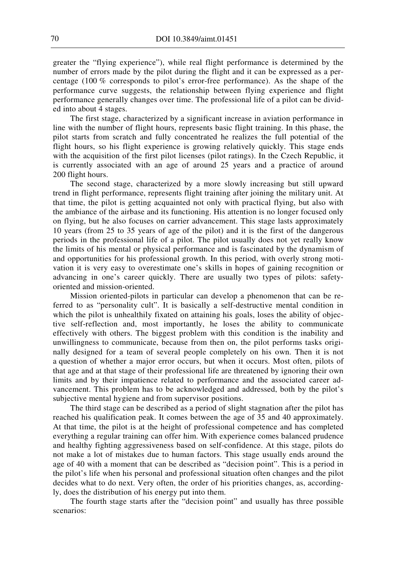greater the "flying experience"), while real flight performance is determined by the number of errors made by the pilot during the flight and it can be expressed as a percentage (100 % corresponds to pilot's error-free performance). As the shape of the performance curve suggests, the relationship between flying experience and flight performance generally changes over time. The professional life of a pilot can be divided into about 4 stages.

The first stage, characterized by a significant increase in aviation performance in line with the number of flight hours, represents basic flight training. In this phase, the pilot starts from scratch and fully concentrated he realizes the full potential of the flight hours, so his flight experience is growing relatively quickly. This stage ends with the acquisition of the first pilot licenses (pilot ratings). In the Czech Republic, it is currently associated with an age of around 25 years and a practice of around 200 flight hours.

The second stage, characterized by a more slowly increasing but still upward trend in flight performance, represents flight training after joining the military unit. At that time, the pilot is getting acquainted not only with practical flying, but also with the ambiance of the airbase and its functioning. His attention is no longer focused only on flying, but he also focuses on carrier advancement. This stage lasts approximately 10 years (from 25 to 35 years of age of the pilot) and it is the first of the dangerous periods in the professional life of a pilot. The pilot usually does not yet really know the limits of his mental or physical performance and is fascinated by the dynamism of and opportunities for his professional growth. In this period, with overly strong motivation it is very easy to overestimate one's skills in hopes of gaining recognition or advancing in one's career quickly. There are usually two types of pilots: safetyoriented and mission-oriented.

Mission oriented-pilots in particular can develop a phenomenon that can be referred to as "personality cult". It is basically a self-destructive mental condition in which the pilot is unhealthily fixated on attaining his goals, loses the ability of objective self-reflection and, most importantly, he loses the ability to communicate effectively with others. The biggest problem with this condition is the inability and unwillingness to communicate, because from then on, the pilot performs tasks originally designed for a team of several people completely on his own. Then it is not a question of whether a major error occurs, but when it occurs. Most often, pilots of that age and at that stage of their professional life are threatened by ignoring their own limits and by their impatience related to performance and the associated career advancement. This problem has to be acknowledged and addressed, both by the pilot's subjective mental hygiene and from supervisor positions.

The third stage can be described as a period of slight stagnation after the pilot has reached his qualification peak. It comes between the age of 35 and 40 approximately. At that time, the pilot is at the height of professional competence and has completed everything a regular training can offer him. With experience comes balanced prudence and healthy fighting aggressiveness based on self-confidence. At this stage, pilots do not make a lot of mistakes due to human factors. This stage usually ends around the age of 40 with a moment that can be described as "decision point". This is a period in the pilot's life when his personal and professional situation often changes and the pilot decides what to do next. Very often, the order of his priorities changes, as, accordingly, does the distribution of his energy put into them.

The fourth stage starts after the "decision point" and usually has three possible scenarios: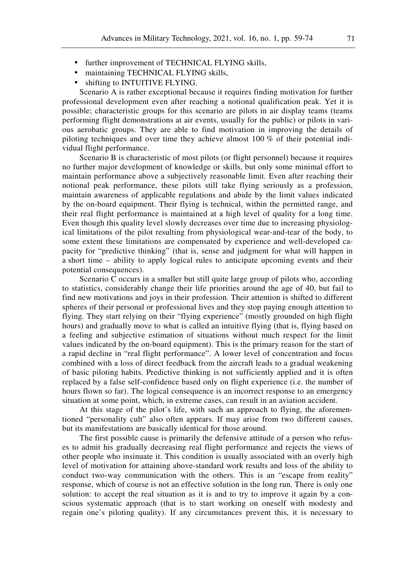- further improvement of TECHNICAL FLYING skills,
- maintaining TECHNICAL FLYING skills,
- shifting to INTUITIVE FLYING.

Scenario A is rather exceptional because it requires finding motivation for further professional development even after reaching a notional qualification peak. Yet it is possible; characteristic groups for this scenario are pilots in air display teams (teams performing flight demonstrations at air events, usually for the public) or pilots in various aerobatic groups. They are able to find motivation in improving the details of piloting techniques and over time they achieve almost 100 % of their potential individual flight performance.

Scenario B is characteristic of most pilots (or flight personnel) because it requires no further major development of knowledge or skills, but only some minimal effort to maintain performance above a subjectively reasonable limit. Even after reaching their notional peak performance, these pilots still take flying seriously as a profession, maintain awareness of applicable regulations and abide by the limit values indicated by the on-board equipment. Their flying is technical, within the permitted range, and their real flight performance is maintained at a high level of quality for a long time. Even though this quality level slowly decreases over time due to increasing physiological limitations of the pilot resulting from physiological wear-and-tear of the body, to some extent these limitations are compensated by experience and well-developed capacity for "predictive thinking" (that is, sense and judgment for what will happen in a short time – ability to apply logical rules to anticipate upcoming events and their potential consequences).

Scenario C occurs in a smaller but still quite large group of pilots who, according to statistics, considerably change their life priorities around the age of 40, but fail to find new motivations and joys in their profession. Their attention is shifted to different spheres of their personal or professional lives and they stop paying enough attention to flying. They start relying on their "flying experience" (mostly grounded on high flight hours) and gradually move to what is called an intuitive flying (that is, flying based on a feeling and subjective estimation of situations without much respect for the limit values indicated by the on-board equipment). This is the primary reason for the start of a rapid decline in "real flight performance". A lower level of concentration and focus combined with a loss of direct feedback from the aircraft leads to a gradual weakening of basic piloting habits. Predictive thinking is not sufficiently applied and it is often replaced by a false self-confidence based only on flight experience (i.e. the number of hours flown so far). The logical consequence is an incorrect response to an emergency situation at some point, which, in extreme cases, can result in an aviation accident.

At this stage of the pilot's life, with such an approach to flying, the aforementioned "personality cult" also often appears. If may arise from two different causes, but its manifestations are basically identical for those around.

The first possible cause is primarily the defensive attitude of a person who refuses to admit his gradually decreasing real flight performance and rejects the views of other people who insinuate it. This condition is usually associated with an overly high level of motivation for attaining above-standard work results and loss of the ability to conduct two-way communication with the others. This is an "escape from reality" response, which of course is not an effective solution in the long run. There is only one solution: to accept the real situation as it is and to try to improve it again by a conscious systematic approach (that is to start working on oneself with modesty and regain one's piloting quality). If any circumstances prevent this, it is necessary to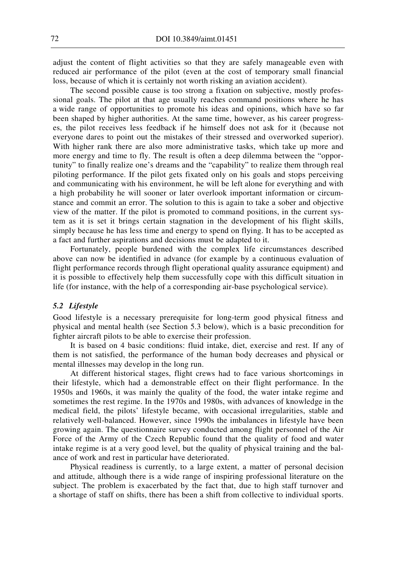adjust the content of flight activities so that they are safely manageable even with reduced air performance of the pilot (even at the cost of temporary small financial loss, because of which it is certainly not worth risking an aviation accident).

The second possible cause is too strong a fixation on subjective, mostly professional goals. The pilot at that age usually reaches command positions where he has a wide range of opportunities to promote his ideas and opinions, which have so far been shaped by higher authorities. At the same time, however, as his career progresses, the pilot receives less feedback if he himself does not ask for it (because not everyone dares to point out the mistakes of their stressed and overworked superior). With higher rank there are also more administrative tasks, which take up more and more energy and time to fly. The result is often a deep dilemma between the "opportunity" to finally realize one's dreams and the "capability" to realize them through real piloting performance. If the pilot gets fixated only on his goals and stops perceiving and communicating with his environment, he will be left alone for everything and with a high probability he will sooner or later overlook important information or circumstance and commit an error. The solution to this is again to take a sober and objective view of the matter. If the pilot is promoted to command positions, in the current system as it is set it brings certain stagnation in the development of his flight skills, simply because he has less time and energy to spend on flying. It has to be accepted as a fact and further aspirations and decisions must be adapted to it.

Fortunately, people burdened with the complex life circumstances described above can now be identified in advance (for example by a continuous evaluation of flight performance records through flight operational quality assurance equipment) and it is possible to effectively help them successfully cope with this difficult situation in life (for instance, with the help of a corresponding air-base psychological service).

#### *5.2 Lifestyle*

Good lifestyle is a necessary prerequisite for long-term good physical fitness and physical and mental health (see Section 5.3 below), which is a basic precondition for fighter aircraft pilots to be able to exercise their profession.

It is based on 4 basic conditions: fluid intake, diet, exercise and rest. If any of them is not satisfied, the performance of the human body decreases and physical or mental illnesses may develop in the long run.

At different historical stages, flight crews had to face various shortcomings in their lifestyle, which had a demonstrable effect on their flight performance. In the 1950s and 1960s, it was mainly the quality of the food, the water intake regime and sometimes the rest regime. In the 1970s and 1980s, with advances of knowledge in the medical field, the pilots' lifestyle became, with occasional irregularities, stable and relatively well-balanced. However, since 1990s the imbalances in lifestyle have been growing again. The questionnaire survey conducted among flight personnel of the Air Force of the Army of the Czech Republic found that the quality of food and water intake regime is at a very good level, but the quality of physical training and the balance of work and rest in particular have deteriorated.

Physical readiness is currently, to a large extent, a matter of personal decision and attitude, although there is a wide range of inspiring professional literature on the subject. The problem is exacerbated by the fact that, due to high staff turnover and a shortage of staff on shifts, there has been a shift from collective to individual sports.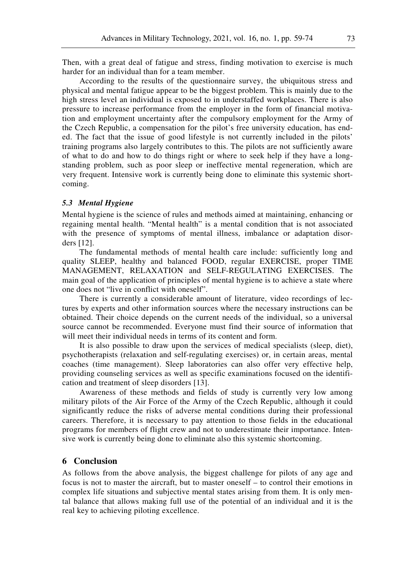Then, with a great deal of fatigue and stress, finding motivation to exercise is much harder for an individual than for a team member.

According to the results of the questionnaire survey, the ubiquitous stress and physical and mental fatigue appear to be the biggest problem. This is mainly due to the high stress level an individual is exposed to in understaffed workplaces. There is also pressure to increase performance from the employer in the form of financial motivation and employment uncertainty after the compulsory employment for the Army of the Czech Republic, a compensation for the pilot's free university education, has ended. The fact that the issue of good lifestyle is not currently included in the pilots' training programs also largely contributes to this. The pilots are not sufficiently aware of what to do and how to do things right or where to seek help if they have a longstanding problem, such as poor sleep or ineffective mental regeneration, which are very frequent. Intensive work is currently being done to eliminate this systemic shortcoming.

#### *5.3 Mental Hygiene*

Mental hygiene is the science of rules and methods aimed at maintaining, enhancing or regaining mental health. "Mental health" is a mental condition that is not associated with the presence of symptoms of mental illness, imbalance or adaptation disorders [12].

The fundamental methods of mental health care include: sufficiently long and quality SLEEP, healthy and balanced FOOD, regular EXERCISE, proper TIME MANAGEMENT, RELAXATION and SELF-REGULATING EXERCISES. The main goal of the application of principles of mental hygiene is to achieve a state where one does not "live in conflict with oneself".

There is currently a considerable amount of literature, video recordings of lectures by experts and other information sources where the necessary instructions can be obtained. Their choice depends on the current needs of the individual, so a universal source cannot be recommended. Everyone must find their source of information that will meet their individual needs in terms of its content and form.

It is also possible to draw upon the services of medical specialists (sleep, diet), psychotherapists (relaxation and self-regulating exercises) or, in certain areas, mental coaches (time management). Sleep laboratories can also offer very effective help, providing counseling services as well as specific examinations focused on the identification and treatment of sleep disorders [13].

Awareness of these methods and fields of study is currently very low among military pilots of the Air Force of the Army of the Czech Republic, although it could significantly reduce the risks of adverse mental conditions during their professional careers. Therefore, it is necessary to pay attention to those fields in the educational programs for members of flight crew and not to underestimate their importance. Intensive work is currently being done to eliminate also this systemic shortcoming.

#### **6 Conclusion**

As follows from the above analysis, the biggest challenge for pilots of any age and focus is not to master the aircraft, but to master oneself – to control their emotions in complex life situations and subjective mental states arising from them. It is only mental balance that allows making full use of the potential of an individual and it is the real key to achieving piloting excellence.